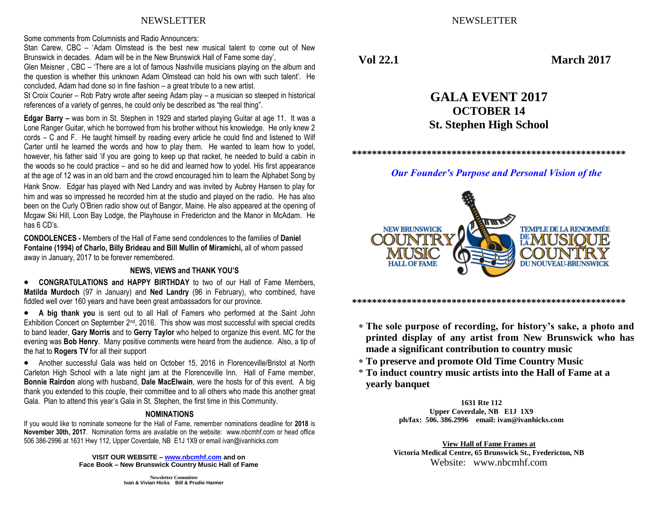## NEWSLETTER NEWSLETTER

Some comments from Columnists and Radio Announcers:

Stan Carew, CBC – 'Adam Olmstead is the best new musical talent to come out of New Brunswick in decades. Adam will be in the New Brunswick Hall of Fame some day',

Glen Meisner , CBC – 'There are a lot of famous Nashville musicians playing on the album and the question is whether this unknown Adam Olmstead can hold his own with such talent'. He concluded, Adam had done so in fine fashion – a great tribute to a new artist.

St Croix Courier – Rob Patry wrote after seeing Adam play – a musician so steeped in historical references of a variety of genres, he could only be described as "the real thing".

**Edgar Barry –** was born in St. Stephen in 1929 and started playing Guitar at age 11. It was a Lone Ranger Guitar, which he borrowed from his brother without his knowledge. He only knew 2 cords – C and F. He taught himself by reading every article he could find and listened to Wilf Carter until he learned the words and how to play them. He wanted to learn how to yodel, however, his father said 'if you are going to keep up that racket, he needed to build a cabin in the woods so he could practice – and so he did and learned how to yodel. His first appearance at the age of 12 was in an old barn and the crowd encouraged him to learn the Alphabet Song by Hank Snow. Edgar has played with Ned Landry and was invited by Aubrey Hansen to play for him and was so impressed he recorded him at the studio and played on the radio. He has also been on the Curly O'Brien radio show out of Bangor, Maine. He also appeared at the opening of Mcgaw Ski Hill, Loon Bay Lodge, the Playhouse in Fredericton and the Manor in McAdam. He has 6 CD's.

**CONDOLENCES -** Members of the Hall of Fame send condolences to the families of **Daniel Fontaine (1994) of Charlo, Billy Brideau and Bill Mullin of Miramichi,** all of whom passed away in January, 2017 to be forever remembered.

#### **NEWS, VIEWS and THANK YOU'S**

 **CONGRATULATIONS and HAPPY BIRTHDAY** to two of our Hall of Fame Members, **Matilda Murdoch** (97 in January) and **Ned Landry** (96 in February), who combined, have fiddled well over 160 years and have been great ambassadors for our province.

 **A big thank you** is sent out to all Hall of Famers who performed at the Saint John Exhibition Concert on September 2<sup>nd</sup>, 2016. This show was most successful with special credits to band leader, **Gary Morris** and to **Gerry Taylor** who helped to organize this event. MC for the evening was **Bob Henry**. Many positive comments were heard from the audience. Also, a tip of the hat to **Rogers TV** for all their support

 Another successful Gala was held on October 15, 2016 in Florenceville/Bristol at North Carleton High School with a late night jam at the Florenceville Inn. Hall of Fame member, **Bonnie Rairdon** along with husband, **Dale MacElwain**, were the hosts for of this event. A big thank you extended to this couple, their committee and to all others who made this another great Gala. Plan to attend this year's Gala in St. Stephen, the first time in this Community.

#### **NOMINATIONS**

If you would like to nominate someone for the Hall of Fame, remember nominations deadline for **2018** is **November 30th, 2017**. Nomination forms are available on the website: www.nbcmhf.com or head office 506 386-2996 at 1631 Hwy 112, Upper Coverdale, NB E1J 1X9 or email ivan@ivanhicks.com

> **VISIT OUR WEBSITE – [www.nbcmhf.com](http://www.nbcmhf.com/) and on Face Book – New Brunswick Country Music Hall of Fame**

**Vol 22.1 March 2017**

# **GALA EVENT 2017 OCTOBER 14 St. Stephen High School**

**\*\*\*\*\*\*\*\*\*\*\*\*\*\*\*\*\*\*\*\*\*\*\*\*\*\*\*\*\*\*\*\*\*\*\*\*\*\*\*\*\*\*\*\*\*\*\*\*\*\*\*\*\*\*\*** 

### *Our Founder's Purpose and Personal Vision of the*



**\*\*\*\*\*\*\*\*\*\*\*\*\*\*\*\*\*\*\*\*\*\*\*\*\*\*\*\*\*\*\*\*\*\*\*\*\*\*\*\*\*\*\*\*\*\*\*\*\*\*\*\*\*\*\*** 

- **The sole purpose of recording, for history's sake, a photo and printed display of any artist from New Brunswick who has made a significant contribution to country music**
- **To preserve and promote Old Time Country Music**
- \* **To induct country music artists into the Hall of Fame at a yearly banquet**

**1631 Rte 112 Upper Coverdale, NB E1J 1X9 ph/fax: 506. 386.2996 email: ivan@ivanhicks.com**

**View Hall of Fame Frames at Victoria Medical Centre, 65 Brunswick St., Fredericton, NB** Website: www.nbcmhf.com